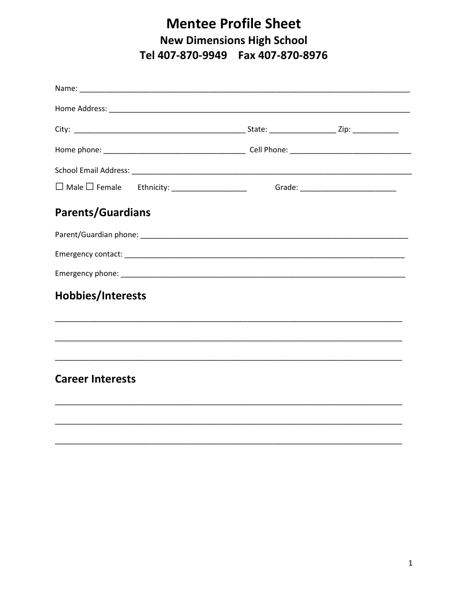## **Mentee Profile Sheet New Dimensions High School** Tel 407-870-9949 Fax 407-870-8976

| <b>Parents/Guardians</b> |  |
|--------------------------|--|
|                          |  |
|                          |  |
|                          |  |
| Hobbies/Interests        |  |
|                          |  |
| <b>Career Interests</b>  |  |
|                          |  |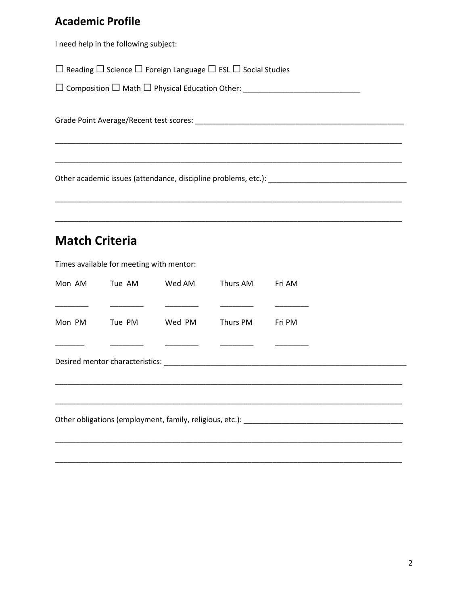## **Academic Profile**

I need help in the following subject:

 $\Box$  Reading  $\Box$  Science  $\Box$  Foreign Language  $\Box$  ESL  $\Box$  Social Studies

 $\Box$  Composition  $\Box$  Math  $\Box$  Physical Education Other:

Grade Point Average/Recent test scores: Management of the Contract of the Contract of the Contract of the Contract of the Contract of the Contract of the Contract of the Contract of the Contract of the Contract of the Cont

## **Match Criteria**

Times available for meeting with mentor:

| Mon AM                                                                                                         | Tue AM | Wed AM | Thurs AM | Fri AM |  |  |  |  |
|----------------------------------------------------------------------------------------------------------------|--------|--------|----------|--------|--|--|--|--|
|                                                                                                                |        |        |          |        |  |  |  |  |
| Mon PM                                                                                                         | Tue PM | Wed PM | Thurs PM | Fri PM |  |  |  |  |
|                                                                                                                |        |        |          |        |  |  |  |  |
|                                                                                                                |        |        |          |        |  |  |  |  |
|                                                                                                                |        |        |          |        |  |  |  |  |
|                                                                                                                |        |        |          |        |  |  |  |  |
| Other obligations (employment, family, religious, etc.): etc. and the control of the control of the control of |        |        |          |        |  |  |  |  |
|                                                                                                                |        |        |          |        |  |  |  |  |
|                                                                                                                |        |        |          |        |  |  |  |  |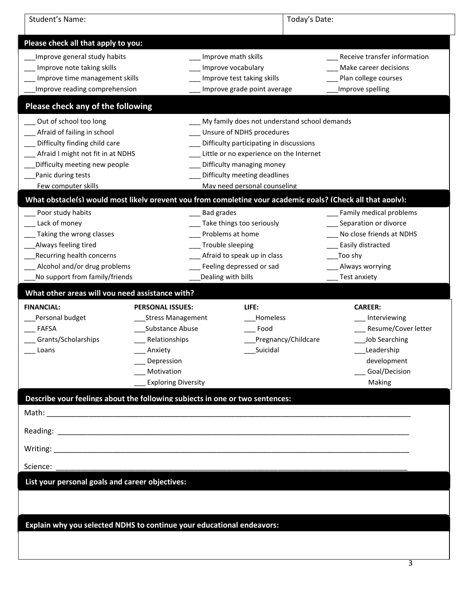| Student's Name:                                                                                                                                                                                           |                                                                                                                                                              | Today's Date:                                                                                                                                                                                                                                                |                                                                                                                                                 |  |
|-----------------------------------------------------------------------------------------------------------------------------------------------------------------------------------------------------------|--------------------------------------------------------------------------------------------------------------------------------------------------------------|--------------------------------------------------------------------------------------------------------------------------------------------------------------------------------------------------------------------------------------------------------------|-------------------------------------------------------------------------------------------------------------------------------------------------|--|
| Please check all that apply to you:                                                                                                                                                                       |                                                                                                                                                              |                                                                                                                                                                                                                                                              |                                                                                                                                                 |  |
| Improve general study habits<br>Improve note taking skills<br>Improve time management skills<br>Improve reading comprehension                                                                             |                                                                                                                                                              | Improve math skills<br>Improve vocabulary<br>Improve test taking skills<br>Improve grade point average                                                                                                                                                       | Receive transfer information<br>Make career decisions<br>Plan college courses<br>Improve spelling                                               |  |
| Please check any of the following                                                                                                                                                                         |                                                                                                                                                              |                                                                                                                                                                                                                                                              |                                                                                                                                                 |  |
| Out of school too long<br>Afraid of failing in school<br>Difficulty finding child care<br>Afraid I might not fit in at NDHS<br>Difficulty meeting new people<br>Panic during tests<br>Few computer skills |                                                                                                                                                              | My family does not understand school demands<br>Unsure of NDHS procedures<br>Difficulty participating in discussions<br>Little or no experience on the Internet<br>Difficulty managing money<br>Difficulty meeting deadlines<br>May need personal counseling |                                                                                                                                                 |  |
| What obstacle(s) would most likelv prevent vou from completing vour academic goals? (Check all that apply):                                                                                               |                                                                                                                                                              |                                                                                                                                                                                                                                                              |                                                                                                                                                 |  |
| Poor study habits<br>Lack of money<br>Taking the wrong classes<br>Always feeling tired<br>Recurring health concerns<br>Alcohol and/or drug problems<br>No support from family/friends                     | <b>Bad grades</b>                                                                                                                                            | Take things too seriously<br>Problems at home<br>Trouble sleeping<br>_ Afraid to speak up in class<br>Feeling depressed or sad<br>Dealing with bills                                                                                                         | Family medical problems<br>Separation or divorce<br>No close friends at NDHS<br>Easily distracted<br>Too shy<br>Always worrying<br>Test anxiety |  |
| What other areas will vou need assistance with?                                                                                                                                                           |                                                                                                                                                              |                                                                                                                                                                                                                                                              |                                                                                                                                                 |  |
| <b>FINANCIAL:</b><br>Personal budget<br><b>FAFSA</b><br>Grants/Scholarships<br>Loans                                                                                                                      | <b>PERSONAL ISSUES:</b><br><b>Stress Management</b><br>Substance Abuse<br>Relationships<br>Anxiety<br>Depression<br>Motivation<br><b>Exploring Diversity</b> | LIFE:<br>Homeless<br>Food<br>Pregnancy/Childcare<br>Suicidal                                                                                                                                                                                                 | <b>CAREER:</b><br>Interviewing<br>Resume/Cover letter<br>Job Searching<br>Leadership<br>development<br>Goal/Decision<br>Making                  |  |
| Describe vour feelings about the following subiects in one or two sentences:                                                                                                                              |                                                                                                                                                              |                                                                                                                                                                                                                                                              |                                                                                                                                                 |  |
|                                                                                                                                                                                                           |                                                                                                                                                              |                                                                                                                                                                                                                                                              |                                                                                                                                                 |  |
|                                                                                                                                                                                                           |                                                                                                                                                              |                                                                                                                                                                                                                                                              |                                                                                                                                                 |  |
|                                                                                                                                                                                                           |                                                                                                                                                              |                                                                                                                                                                                                                                                              |                                                                                                                                                 |  |
|                                                                                                                                                                                                           |                                                                                                                                                              |                                                                                                                                                                                                                                                              |                                                                                                                                                 |  |
| Science:<br>List your personal goals and career objectives:                                                                                                                                               |                                                                                                                                                              |                                                                                                                                                                                                                                                              |                                                                                                                                                 |  |
| Explain why you selected NDHS to continue your educational endeavors:                                                                                                                                     |                                                                                                                                                              |                                                                                                                                                                                                                                                              |                                                                                                                                                 |  |